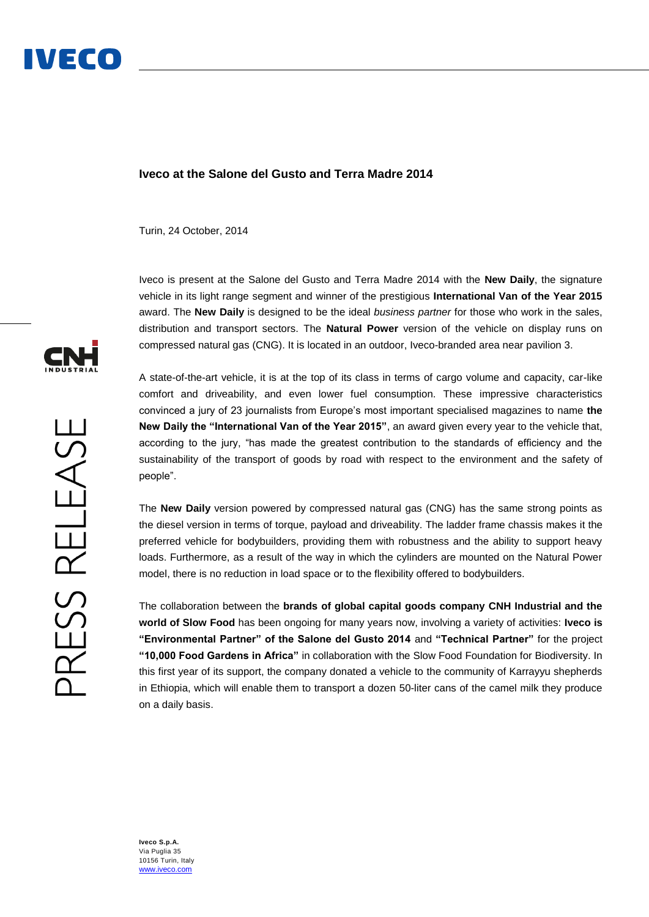## **Iveco at the Salone del Gusto and Terra Madre 2014**

Turin, 24 October, 2014

Iveco is present at the Salone del Gusto and Terra Madre 2014 with the **New Daily**, the signature vehicle in its light range segment and winner of the prestigious **International Van of the Year 2015** award. The **New Daily** is designed to be the ideal *business partner* for those who work in the sales, distribution and transport sectors. The **Natural Power** version of the vehicle on display runs on compressed natural gas (CNG). It is located in an outdoor, Iveco-branded area near pavilion 3.

A state-of-the-art vehicle, it is at the top of its class in terms of cargo volume and capacity, car-like comfort and driveability, and even lower fuel consumption. These impressive characteristics convinced a jury of 23 journalists from Europe's most important specialised magazines to name **the New Daily the "International Van of the Year 2015"**, an award given every year to the vehicle that, according to the jury, "has made the greatest contribution to the standards of efficiency and the sustainability of the transport of goods by road with respect to the environment and the safety of people".

The **New Daily** version powered by compressed natural gas (CNG) has the same strong points as the diesel version in terms of torque, payload and driveability. The ladder frame chassis makes it the preferred vehicle for bodybuilders, providing them with robustness and the ability to support heavy loads. Furthermore, as a result of the way in which the cylinders are mounted on the Natural Power model, there is no reduction in load space or to the flexibility offered to bodybuilders.

The collaboration between the **brands of global capital goods company CNH Industrial and the world of Slow Food** has been ongoing for many years now, involving a variety of activities: **Iveco is "Environmental Partner" of the Salone del Gusto 2014** and **"Technical Partner"** for the project **"10,000 Food Gardens in Africa"** in collaboration with the Slow Food Foundation for Biodiversity. In this first year of its support, the company donated a vehicle to the community of Karrayyu shepherds in Ethiopia, which will enable them to transport a dozen 50-liter cans of the camel milk they produce on a daily basis.



**Iveco S.p.A.** Via Puglia 35 10156 Turin, Italy www.iveco.com